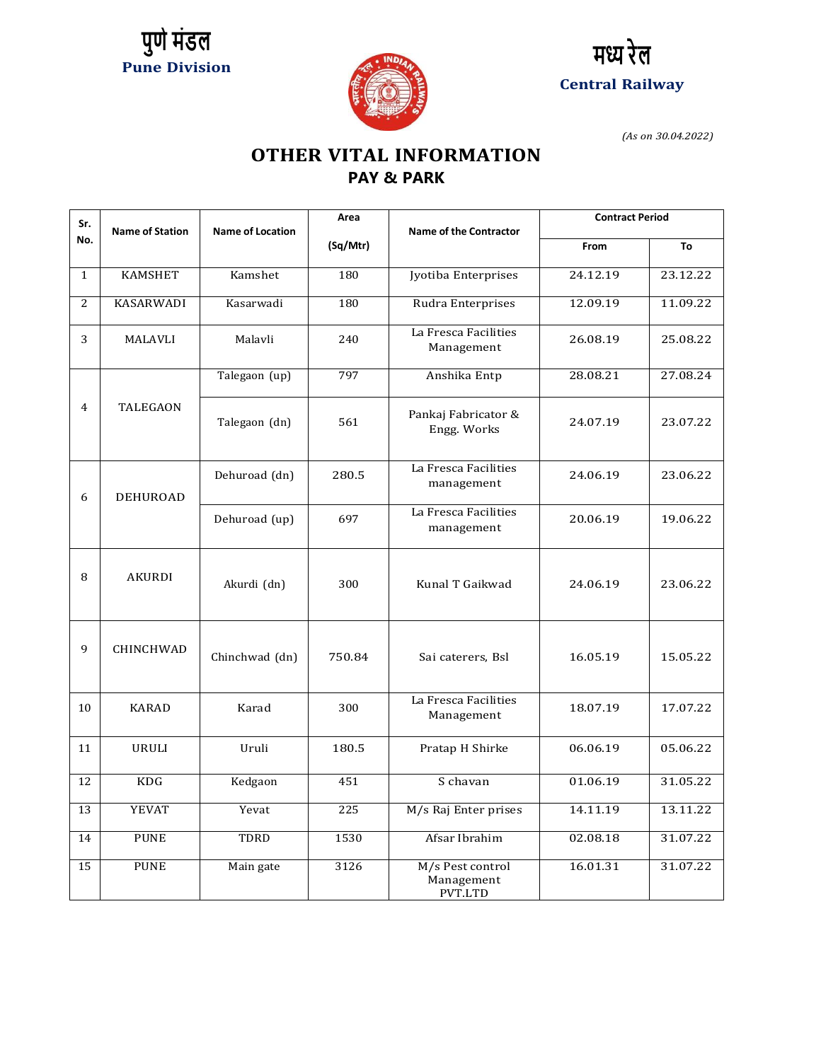





*(As on 30.04.2022)*

## **OTHER VITAL INFORMATION PAY & PARK**

| Sr.          |                        |                         | Area     |                               | <b>Contract Period</b> |          |
|--------------|------------------------|-------------------------|----------|-------------------------------|------------------------|----------|
| No.          | <b>Name of Station</b> | <b>Name of Location</b> |          | <b>Name of the Contractor</b> |                        |          |
|              |                        |                         | (Sq/Mtr) |                               | From                   | To       |
|              |                        |                         |          |                               |                        |          |
| $\mathbf{1}$ | <b>KAMSHET</b>         | Kamshet                 | 180      | Jyotiba Enterprises           | 24.12.19               | 23.12.22 |
|              |                        |                         |          |                               |                        |          |
| 2            | <b>KASARWADI</b>       | Kasarwadi               | 180      | Rudra Enterprises             | 12.09.19               | 11.09.22 |
|              |                        |                         |          | La Fresca Facilities          |                        |          |
| 3            | <b>MALAVLI</b>         | Malavli                 | 240      | Management                    | 26.08.19               | 25.08.22 |
|              |                        |                         |          |                               |                        |          |
|              |                        | Talegaon (up)           | 797      | Anshika Entp                  | 28.08.21               | 27.08.24 |
|              |                        |                         |          |                               |                        |          |
| 4            | TALEGAON               |                         |          |                               |                        |          |
|              |                        | Talegaon (dn)           | 561      | Pankaj Fabricator &           | 24.07.19               | 23.07.22 |
|              |                        |                         |          | Engg. Works                   |                        |          |
|              |                        |                         |          |                               |                        |          |
|              |                        | Dehuroad (dn)           | 280.5    | La Fresca Facilities          | 24.06.19               | 23.06.22 |
|              |                        |                         |          | management                    |                        |          |
| 6            | <b>DEHUROAD</b>        |                         |          |                               |                        |          |
|              |                        | Dehuroad (up)           | 697      | La Fresca Facilities          | 20.06.19               | 19.06.22 |
|              |                        |                         |          | management                    |                        |          |
|              |                        |                         |          |                               |                        |          |
|              |                        |                         |          |                               |                        |          |
| 8            | AKURDI                 | Akurdi (dn)             | 300      | Kunal T Gaikwad               | 24.06.19               | 23.06.22 |
|              |                        |                         |          |                               |                        |          |
|              |                        |                         |          |                               |                        |          |
|              |                        |                         |          |                               |                        |          |
| $\mathbf{q}$ | CHINCHWAD              |                         |          |                               |                        |          |
|              |                        | Chinchwad (dn)          | 750.84   | Sai caterers, Bsl             | 16.05.19               | 15.05.22 |
|              |                        |                         |          |                               |                        |          |
|              |                        |                         |          |                               |                        |          |
| 10           | <b>KARAD</b>           | Karad                   | 300      | La Fresca Facilities          | 18.07.19               | 17.07.22 |
|              |                        |                         |          | Management                    |                        |          |
|              |                        |                         |          |                               |                        |          |
| 11           | <b>URULI</b>           | Uruli                   | 180.5    | Pratap H Shirke               | 06.06.19               | 05.06.22 |
|              |                        |                         |          |                               |                        |          |
| 12           | <b>KDG</b>             | Kedgaon                 | 451      | S chavan                      | 01.06.19               | 31.05.22 |
| 13           | <b>YEVAT</b>           | Yevat                   | 225      | M/s Raj Enter prises          | 14.11.19               | 13.11.22 |
|              |                        |                         |          |                               |                        |          |
| 14           | <b>PUNE</b>            | TDRD                    | 1530     | Afsar Ibrahim                 | 02.08.18               | 31.07.22 |
|              |                        |                         |          |                               |                        |          |
| 15           | <b>PUNE</b>            | Main gate               | 3126     | M/s Pest control              | 16.01.31               | 31.07.22 |
|              |                        |                         |          | Management                    |                        |          |
|              |                        |                         |          | PVT.LTD                       |                        |          |